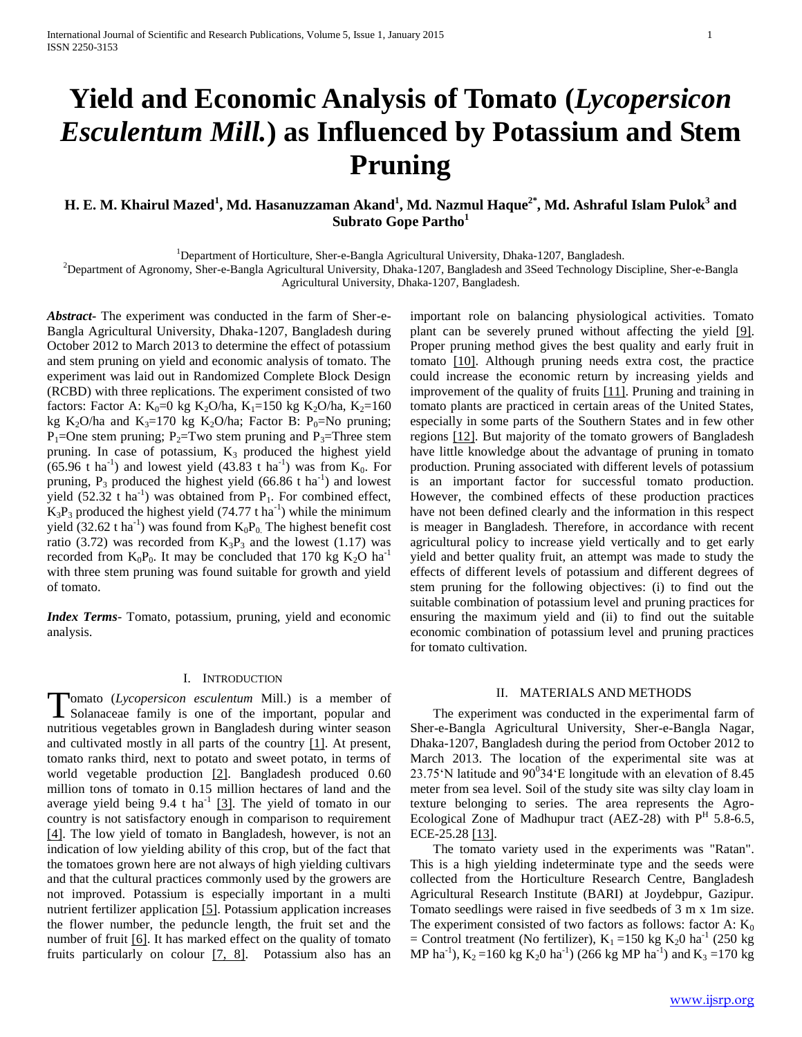# **Yield and Economic Analysis of Tomato (***Lycopersicon Esculentum Mill.***) as Influenced by Potassium and Stem Pruning**

# **H. E. M. Khairul Mazed<sup>1</sup> , Md. Hasanuzzaman Akand<sup>1</sup> , Md. Nazmul Haque2\*, Md. Ashraful Islam Pulok<sup>3</sup> and Subrato Gope Partho<sup>1</sup>**

<sup>1</sup>Department of Horticulture, Sher-e-Bangla Agricultural University, Dhaka-1207, Bangladesh.

<sup>2</sup>Department of Agronomy, Sher-e-Bangla Agricultural University, Dhaka-1207, Bangladesh and 3Seed Technology Discipline, Sher-e-Bangla

Agricultural University, Dhaka-1207, Bangladesh.

*Abstract***-** The experiment was conducted in the farm of Sher-e-Bangla Agricultural University, Dhaka-1207, Bangladesh during October 2012 to March 2013 to determine the effect of potassium and stem pruning on yield and economic analysis of tomato. The experiment was laid out in Randomized Complete Block Design (RCBD) with three replications. The experiment consisted of two factors: Factor A:  $K_0=0$  kg  $K_2O/ha$ ,  $K_1=150$  kg  $K_2O/ha$ ,  $K_2=160$ kg K<sub>2</sub>O/ha and K<sub>3</sub>=170 kg K<sub>2</sub>O/ha; Factor B: P<sub>0</sub>=No pruning;  $P_1$ =One stem pruning;  $P_2$ =Two stem pruning and  $P_3$ =Three stem pruning. In case of potassium,  $K_3$  produced the highest yield  $(65.96 \text{ t} \text{ ha}^{-1})$  and lowest yield  $(43.83 \text{ t} \text{ ha}^{-1})$  was from  $K_0$ . For pruning,  $P_3$  produced the highest yield (66.86 t ha<sup>-1</sup>) and lowest yield  $(52.32 \text{ t} \text{ ha}^{-1})$  was obtained from P<sub>1</sub>. For combined effect,  $K_3P_3$  produced the highest yield (74.77 t ha<sup>-1</sup>) while the minimum yield (32.62 t ha<sup>-1</sup>) was found from  $K_0P_0$ . The highest benefit cost ratio (3.72) was recorded from  $K_3P_3$  and the lowest (1.17) was recorded from  $K_0P_0$ . It may be concluded that 170 kg  $K_2O$  ha<sup>-1</sup> with three stem pruning was found suitable for growth and yield of tomato.

*Index Terms*- Tomato, potassium, pruning, yield and economic analysis.

# I. INTRODUCTION

omato (*Lycopersicon esculentum* Mill.) is a member of Tomato (Lycopersicon esculentum Mill.) is a member of Solanaceae family is one of the important, popular and nutritious vegetables grown in Bangladesh during winter season and cultivated mostly in all parts of the country [1]. At present, tomato ranks third, next to potato and sweet potato, in terms of world vegetable production [2]. Bangladesh produced 0.60 million tons of tomato in 0.15 million hectares of land and the average yield being 9.4 t ha<sup>-1</sup> [3]. The yield of tomato in our country is not satisfactory enough in comparison to requirement [4]. The low yield of tomato in Bangladesh, however, is not an indication of low yielding ability of this crop, but of the fact that the tomatoes grown here are not always of high yielding cultivars and that the cultural practices commonly used by the growers are not improved. Potassium is especially important in a multi nutrient fertilizer application [5]. Potassium application increases the flower number, the peduncle length, the fruit set and the number of fruit [6]. It has marked effect on the quality of tomato fruits particularly on colour [7, 8]. Potassium also has an

important role on balancing physiological activities. Tomato plant can be severely pruned without affecting the yield [9]. Proper pruning method gives the best quality and early fruit in tomato [10]. Although pruning needs extra cost, the practice could increase the economic return by increasing yields and improvement of the quality of fruits [11]. Pruning and training in tomato plants are practiced in certain areas of the United States, especially in some parts of the Southern States and in few other regions [12]. But majority of the tomato growers of Bangladesh have little knowledge about the advantage of pruning in tomato production. Pruning associated with different levels of potassium is an important factor for successful tomato production. However, the combined effects of these production practices have not been defined clearly and the information in this respect is meager in Bangladesh. Therefore, in accordance with recent agricultural policy to increase yield vertically and to get early yield and better quality fruit, an attempt was made to study the effects of different levels of potassium and different degrees of stem pruning for the following objectives: (i) to find out the suitable combination of potassium level and pruning practices for ensuring the maximum yield and (ii) to find out the suitable economic combination of potassium level and pruning practices for tomato cultivation.

#### II. MATERIALS AND METHODS

 The experiment was conducted in the experimental farm of Sher-e-Bangla Agricultural University, Sher-e-Bangla Nagar, Dhaka-1207, Bangladesh during the period from October 2012 to March 2013. The location of the experimental site was at 23.75 N latitude and  $90^{\circ}34 \text{ E}$  longitude with an elevation of 8.45 meter from sea level. Soil of the study site was silty clay loam in texture belonging to series. The area represents the Agro-Ecological Zone of Madhupur tract (AEZ-28) with  $P<sup>H</sup>$  5.8-6.5, ECE-25.28 [13].

 The tomato variety used in the experiments was "Ratan". This is a high yielding indeterminate type and the seeds were collected from the Horticulture Research Centre, Bangladesh Agricultural Research Institute (BARI) at Joydebpur, Gazipur. Tomato seedlings were raised in five seedbeds of 3 m x 1m size. The experiment consisted of two factors as follows: factor A:  $K_0$ = Control treatment (No fertilizer),  $K_1$  =150 kg  $K_2$ 0 ha<sup>-1</sup> (250 kg MP ha<sup>-1</sup>), K<sub>2</sub>=160 kg K<sub>2</sub>0 ha<sup>-1</sup>) (266 kg MP ha<sup>-1</sup>) and K<sub>3</sub>=170 kg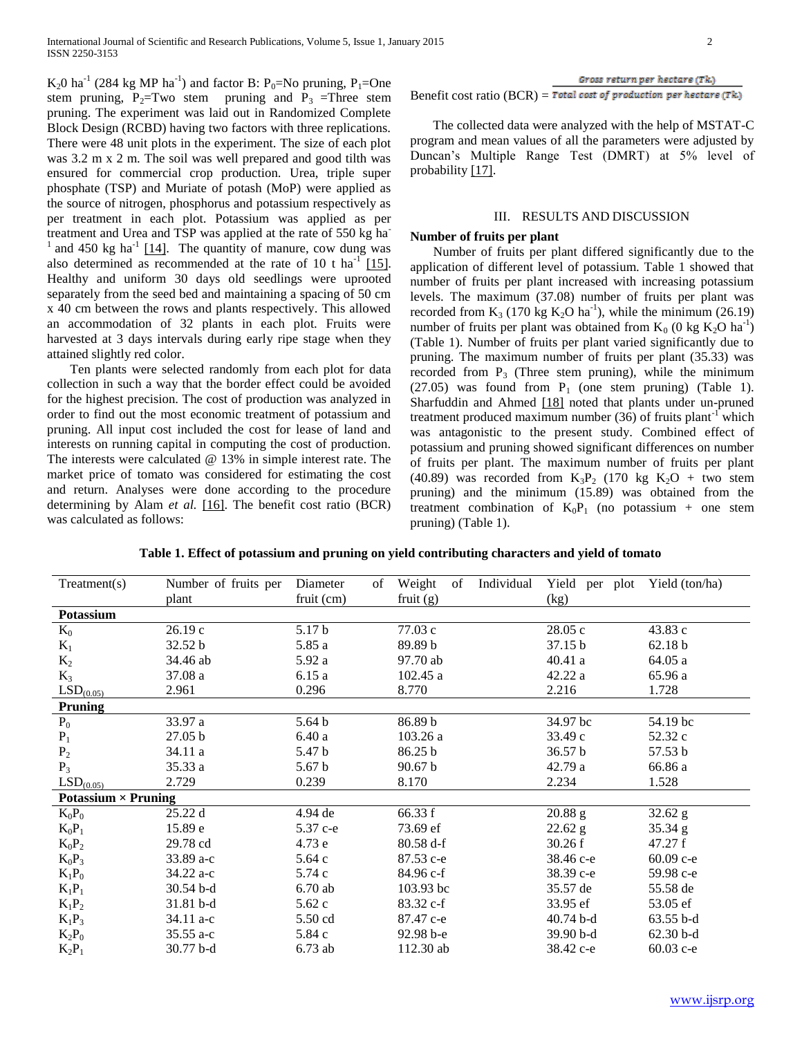$K_2$ 0 ha<sup>-1</sup> (284 kg MP ha<sup>-1</sup>) and factor B: P<sub>0</sub>=No pruning, P<sub>1</sub>=One stem pruning,  $P_2 = Two$  stem pruning and  $P_3 = Three$  stem pruning. The experiment was laid out in Randomized Complete Block Design (RCBD) having two factors with three replications. There were 48 unit plots in the experiment. The size of each plot was 3.2 m x 2 m. The soil was well prepared and good tilth was ensured for commercial crop production. Urea, triple super phosphate (TSP) and Muriate of potash (MoP) were applied as the source of nitrogen, phosphorus and potassium respectively as per treatment in each plot. Potassium was applied as per treatment and Urea and TSP was applied at the rate of 550 kg ha- $1$  and 450 kg ha<sup>-1</sup> [14]. The quantity of manure, cow dung was also determined as recommended at the rate of 10 t ha<sup>-1</sup> [15]. Healthy and uniform 30 days old seedlings were uprooted separately from the seed bed and maintaining a spacing of 50 cm x 40 cm between the rows and plants respectively. This allowed an accommodation of 32 plants in each plot. Fruits were harvested at 3 days intervals during early ripe stage when they attained slightly red color.

 Ten plants were selected randomly from each plot for data collection in such a way that the border effect could be avoided for the highest precision. The cost of production was analyzed in order to find out the most economic treatment of potassium and pruning. All input cost included the cost for lease of land and interests on running capital in computing the cost of production. The interests were calculated @ 13% in simple interest rate. The market price of tomato was considered for estimating the cost and return. Analyses were done according to the procedure determining by Alam *et al.* [16]. The benefit cost ratio (BCR) was calculated as follows:

Benefit cost ratio  $(BCR)$  = Total cost of production per hectare  $(Tk)$ 

 The collected data were analyzed with the help of MSTAT-C program and mean values of all the parameters were adjusted by Duncan's Multiple Range Test (DMRT) at 5% level of probability [17].

#### III. RESULTS AND DISCUSSION

#### **Number of fruits per plant**

 Number of fruits per plant differed significantly due to the application of different level of potassium. Table 1 showed that number of fruits per plant increased with increasing potassium levels. The maximum (37.08) number of fruits per plant was recorded from  $K_3$  (170 kg  $K_2O$  ha<sup>-1</sup>), while the minimum (26.19) number of fruits per plant was obtained from  $K_0$  (0 kg  $K_2O$  ha<sup>-1</sup>) (Table 1). Number of fruits per plant varied significantly due to pruning. The maximum number of fruits per plant (35.33) was recorded from  $P_3$  (Three stem pruning), while the minimum (27.05) was found from  $P_1$  (one stem pruning) (Table 1). Sharfuddin and Ahmed [18] noted that plants under un-pruned treatment produced maximum number  $(36)$  of fruits plant<sup>-1</sup> which was antagonistic to the present study. Combined effect of potassium and pruning showed significant differences on number of fruits per plant. The maximum number of fruits per plant (40.89) was recorded from  $K_3P_2$  (170 kg  $K_2O$  + two stem pruning) and the minimum (15.89) was obtained from the treatment combination of  $K_0P_1$  (no potassium + one stem pruning) (Table 1).

| Table 1. Effect of potassium and pruning on yield contributing characters and yield of tomato |  |  |  |  |  |
|-----------------------------------------------------------------------------------------------|--|--|--|--|--|
|-----------------------------------------------------------------------------------------------|--|--|--|--|--|

| Treatment(s)               | Number of fruits per | Diameter<br>of    | Weight<br>Individual<br>of | Yield per plot | Yield (ton/ha) |
|----------------------------|----------------------|-------------------|----------------------------|----------------|----------------|
|                            | plant                | fruit (cm)        | fruit $(g)$                | (kg)           |                |
| Potassium                  |                      |                   |                            |                |                |
| $K_0$                      | 26.19c               | 5.17 b            | 77.03 c                    | 28.05 c        | 43.83 c        |
| $K_1$                      | 32.52 b              | 5.85 a            | 89.89 b                    | 37.15 b        | 62.18 b        |
| $K_2$                      | 34.46 ab             | 5.92 a            | 97.70 ab                   | 40.41a         | 64.05 a        |
| $K_3$                      | 37.08 a              | 6.15a             | 102.45a                    | 42.22 a        | 65.96 a        |
| LSD <sub>(0.05)</sub>      | 2.961                | 0.296             | 8.770                      | 2.216          | 1.728          |
| Pruning                    |                      |                   |                            |                |                |
| $P_0$                      | 33.97 a              | 5.64 <sub>b</sub> | 86.89 b                    | 34.97 bc       | 54.19 bc       |
| $P_1$                      | 27.05 b              | 6.40a             | 103.26 a                   | 33.49 c        | 52.32 c        |
| P <sub>2</sub>             | 34.11 a              | 5.47 b            | 86.25 b                    | 36.57 b        | 57.53 b        |
| $P_3$                      | 35.33 a              | 5.67 <sub>b</sub> | 90.67 b                    | 42.79 a        | 66.86 a        |
| LSD <sub>(0.05)</sub>      | 2.729                | 0.239             | 8.170                      | 2.234          | 1.528          |
| Potassium $\times$ Pruning |                      |                   |                            |                |                |
| $K_0P_0$                   | 25.22 d              | 4.94 de           | 66.33 f                    | 20.88 g        | $32.62$ g      |
| $K_0P_1$                   | 15.89 e              | 5.37 с-е          | 73.69 ef                   | 22.62 g        | 35.34 g        |
| $K_0P_2$                   | 29.78 cd             | 4.73 e            | $80.58 d-f$                | 30.26 f        | 47.27 f        |
| $K_0P_3$                   | $33.89 a-c$          | 5.64c             | 87.53 с-е                  | 38.46 с-е      | $60.09$ c-e    |
| $K_1P_0$                   | 34.22 a-c            | 5.74 c            | 84.96 c-f                  | 38.39 c-e      | 59.98 c-e      |
| $K_1P_1$                   | $30.54$ b-d          | $6.70$ ab         | 103.93 bc                  | 35.57 de       | 55.58 de       |
| $K_1P_2$                   | 31.81 b-d            | 5.62c             | $83.32 c-f$                | 33.95 ef       | 53.05 ef       |
| $K_1P_3$                   | 34.11 a-c            | 5.50 cd           | 87.47 c-e                  | $40.74b-d$     | $63.55 b-d$    |
| $K_2P_0$                   | $35.55$ a-c          | 5.84 c            | $92.98 b - e$              | 39.90 b-d      | $62.30 b-d$    |
| $K_2P_1$                   | 30.77 b-d            | $6.73$ ab         | 112.30 ab                  | 38.42 с-е      | 60.03 с-е      |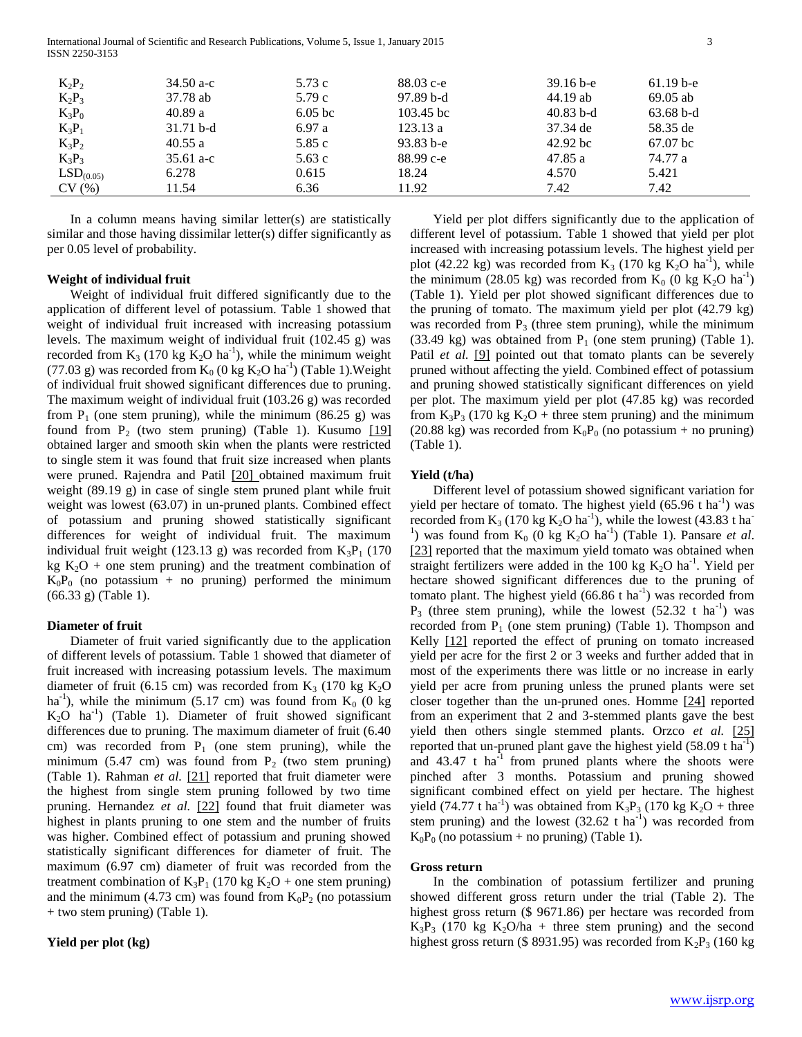International Journal of Scientific and Research Publications, Volume 5, Issue 1, January 2015 3 ISSN 2250-3153

| $K_2P_2$              | 34.50 a-c   | 5.73 c    | $88.03$ c-e   | $39.16 b - e$ | $61.19b-e$  |  |
|-----------------------|-------------|-----------|---------------|---------------|-------------|--|
| $K_2P_3$              | 37.78 ab    | 5.79 c    | $97.89b-d$    | 44.19 ab      | $69.05$ ab  |  |
| $K_3P_0$              | 40.89a      | $6.05$ bc | $103.45$ bc   | $40.83$ b-d   | $63.68 b-d$ |  |
| $K_3P_1$              | $31.71 b-d$ | 6.97a     | 123.13a       | 37.34 de      | 58.35 de    |  |
| $K_3P_2$              | 40.55a      | 5.85 c    | $93.83 b - e$ | $42.92$ bc    | $67.07$ bc  |  |
| $K_3P_3$              | 35.61 a-c   | 5.63 c    | 88.99 c-e     | 47.85 a       | 74.77 a     |  |
| LSD <sub>(0.05)</sub> | 6.278       | 0.615     | 18.24         | 4.570         | 5.421       |  |
| CV(%)                 | 11.54       | 6.36      | 11.92         | 7.42          | 7.42        |  |

 In a column means having similar letter(s) are statistically similar and those having dissimilar letter(s) differ significantly as per 0.05 level of probability.

## **Weight of individual fruit**

 Weight of individual fruit differed significantly due to the application of different level of potassium. Table 1 showed that weight of individual fruit increased with increasing potassium levels. The maximum weight of individual fruit (102.45 g) was recorded from  $K_3$  (170 kg  $K_2O$  ha<sup>-1</sup>), while the minimum weight (77.03 g) was recorded from  $K_0$  (0 kg  $K_2O$  ha<sup>-1</sup>) (Table 1). Weight of individual fruit showed significant differences due to pruning. The maximum weight of individual fruit (103.26 g) was recorded from  $P_1$  (one stem pruning), while the minimum (86.25 g) was found from  $P_2$  (two stem pruning) (Table 1). Kusumo  $[19]$ obtained larger and smooth skin when the plants were restricted to single stem it was found that fruit size increased when plants were pruned. Rajendra and Patil [20] obtained maximum fruit weight (89.19 g) in case of single stem pruned plant while fruit weight was lowest (63.07) in un-pruned plants. Combined effect of potassium and pruning showed statistically significant differences for weight of individual fruit. The maximum individual fruit weight (123.13 g) was recorded from  $K_3P_1$  (170 kg  $K_2O$  + one stem pruning) and the treatment combination of  $K_0P_0$  (no potassium + no pruning) performed the minimum (66.33 g) (Table 1).

#### **Diameter of fruit**

 Diameter of fruit varied significantly due to the application of different levels of potassium. Table 1 showed that diameter of fruit increased with increasing potassium levels. The maximum diameter of fruit (6.15 cm) was recorded from  $K_3$  (170 kg  $K_2O$ ha<sup>-1</sup>), while the minimum (5.17 cm) was found from  $K_0$  (0 kg  $K_2O$  ha<sup>-1</sup>) (Table 1). Diameter of fruit showed significant differences due to pruning. The maximum diameter of fruit (6.40 cm) was recorded from  $P_1$  (one stem pruning), while the minimum (5.47 cm) was found from  $P_2$  (two stem pruning) (Table 1). Rahman *et al.* [21] reported that fruit diameter were the highest from single stem pruning followed by two time pruning. Hernandez et al. [22] found that fruit diameter was highest in plants pruning to one stem and the number of fruits was higher. Combined effect of potassium and pruning showed statistically significant differences for diameter of fruit. The maximum (6.97 cm) diameter of fruit was recorded from the treatment combination of  $K_3P_1$  (170 kg  $K_2O$  + one stem pruning) and the minimum (4.73 cm) was found from  $K_0P_2$  (no potassium + two stem pruning) (Table 1).

## **Yield per plot (kg)**

 Yield per plot differs significantly due to the application of different level of potassium. Table 1 showed that yield per plot increased with increasing potassium levels. The highest yield per plot (42.22 kg) was recorded from  $K_3$  (170 kg  $K_2O$  ha<sup>-1</sup>), while the minimum (28.05 kg) was recorded from  $K_0$  (0 kg  $K_2O$  ha<sup>-1</sup>) (Table 1). Yield per plot showed significant differences due to the pruning of tomato. The maximum yield per plot (42.79 kg) was recorded from  $P_3$  (three stem pruning), while the minimum (33.49 kg) was obtained from  $P_1$  (one stem pruning) (Table 1). Patil *et al.* [9] pointed out that tomato plants can be severely pruned without affecting the yield. Combined effect of potassium and pruning showed statistically significant differences on yield per plot. The maximum yield per plot (47.85 kg) was recorded from  $K_3P_3$  (170 kg  $K_2O$  + three stem pruning) and the minimum (20.88 kg) was recorded from  $K_0P_0$  (no potassium + no pruning) (Table 1).

#### **Yield (t/ha)**

 Different level of potassium showed significant variation for yield per hectare of tomato. The highest yield  $(65.96 \text{ t ha}^{-1})$  was recorded from  $K_3$  (170 kg  $K_2O$  ha<sup>-1</sup>), while the lowest (43.83 t ha<sup>-</sup> <sup>1</sup>) was found from  $K_0$  (0 kg  $K_2O$  ha<sup>-1</sup>) (Table 1). Pansare *et al*. [23] reported that the maximum yield tomato was obtained when straight fertilizers were added in the 100 kg  $K_2O$  ha<sup>-1</sup>. Yield per hectare showed significant differences due to the pruning of tomato plant. The highest yield  $(66.86 \text{ t ha}^{-1})$  was recorded from  $P_3$  (three stem pruning), while the lowest (52.32 t ha<sup>-1</sup>) was recorded from  $P_1$  (one stem pruning) (Table 1). Thompson and Kelly [12] reported the effect of pruning on tomato increased yield per acre for the first 2 or 3 weeks and further added that in most of the experiments there was little or no increase in early yield per acre from pruning unless the pruned plants were set closer together than the un-pruned ones. Homme [24] reported from an experiment that 2 and 3-stemmed plants gave the best yield then others single stemmed plants. Orzco *et al.* [25] reported that un-pruned plant gave the highest yield  $(58.09 \text{ t ha}^{-1})$ and  $43.47$  t ha<sup>-1</sup> from pruned plants where the shoots were pinched after 3 months. Potassium and pruning showed significant combined effect on yield per hectare. The highest yield (74.77 t ha<sup>-1</sup>) was obtained from  $\text{K}_3\text{P}_3$  (170 kg  $\text{K}_2\text{O}$  + three stem pruning) and the lowest  $(32.62 \text{ t ha}^{-1})$  was recorded from  $K_0P_0$  (no potassium + no pruning) (Table 1).

#### **Gross return**

 In the combination of potassium fertilizer and pruning showed different gross return under the trial (Table 2). The highest gross return (\$ 9671.86) per hectare was recorded from  $K_3P_3$  (170 kg  $K_2O/ha$  + three stem pruning) and the second highest gross return (\$ 8931.95) was recorded from  $K_2P_3$  (160 kg)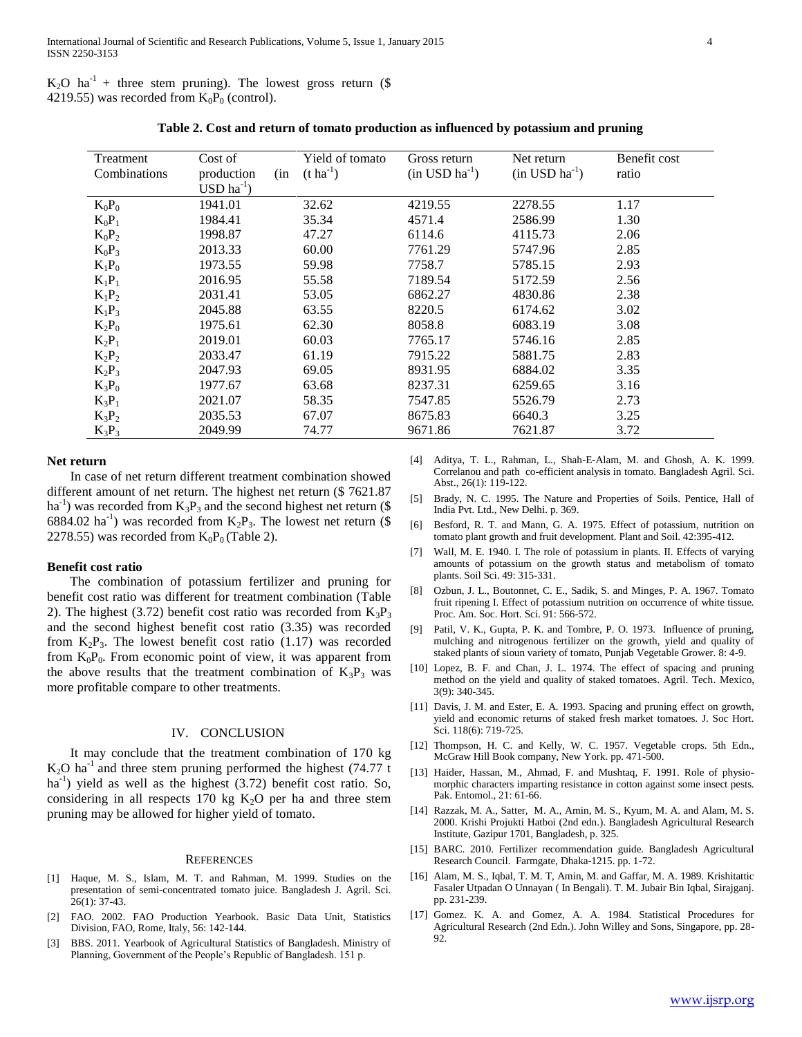$K_2O$  ha<sup>-1</sup> + three stem pruning). The lowest gross return (\$ 4219.55) was recorded from  $K_0P_0$  (control).

| Table 2. Cost and return of tomato production as influenced by potassium and pruning |  |  |
|--------------------------------------------------------------------------------------|--|--|

| Treatment<br>Combinations | Cost of<br>(in<br>production   | Yield of tomato<br>$(t \, ha^{-1})$ | Gross return<br>$(in$ USD $ha^{-1})$ | Net return<br>$(in$ USD $ha^{-1})$ | Benefit cost<br>ratio |
|---------------------------|--------------------------------|-------------------------------------|--------------------------------------|------------------------------------|-----------------------|
|                           | $\text{USD}\ \text{ha}^{-1}$ ) |                                     |                                      |                                    |                       |
| $K_0P_0$                  | 1941.01                        | 32.62                               | 4219.55                              | 2278.55                            | 1.17                  |
| $K_0P_1$                  | 1984.41                        | 35.34                               | 4571.4                               | 2586.99                            | 1.30                  |
| $K_0P_2$                  | 1998.87                        | 47.27                               | 6114.6                               | 4115.73                            | 2.06                  |
| $K_0P_3$                  | 2013.33                        | 60.00                               | 7761.29                              | 5747.96                            | 2.85                  |
| $K_1P_0$                  | 1973.55                        | 59.98                               | 7758.7                               | 5785.15                            | 2.93                  |
| $K_1P_1$                  | 2016.95                        | 55.58                               | 7189.54                              | 5172.59                            | 2.56                  |
| $K_1P_2$                  | 2031.41                        | 53.05                               | 6862.27                              | 4830.86                            | 2.38                  |
| $K_1P_3$                  | 2045.88                        | 63.55                               | 8220.5                               | 6174.62                            | 3.02                  |
| $K_2P_0$                  | 1975.61                        | 62.30                               | 8058.8                               | 6083.19                            | 3.08                  |
| $K_2P_1$                  | 2019.01                        | 60.03                               | 7765.17                              | 5746.16                            | 2.85                  |
| $K_2P_2$                  | 2033.47                        | 61.19                               | 7915.22                              | 5881.75                            | 2.83                  |
| $K_2P_3$                  | 2047.93                        | 69.05                               | 8931.95                              | 6884.02                            | 3.35                  |
| $K_3P_0$                  | 1977.67                        | 63.68                               | 8237.31                              | 6259.65                            | 3.16                  |
| $K_3P_1$                  | 2021.07                        | 58.35                               | 7547.85                              | 5526.79                            | 2.73                  |
| $K_3P_2$                  | 2035.53                        | 67.07                               | 8675.83                              | 6640.3                             | 3.25                  |
| $K_3P_3$                  | 2049.99                        | 74.77                               | 9671.86                              | 7621.87                            | 3.72                  |

#### **Net return**

 In case of net return different treatment combination showed different amount of net return. The highest net return (\$ 7621.87 ha<sup>-1</sup>) was recorded from  $K_3P_3$  and the second highest net return (\$ 6884.02 ha<sup>-1</sup>) was recorded from  $K_2P_3$ . The lowest net return (\$ 2278.55) was recorded from  $K_0P_0$  (Table 2).

#### **Benefit cost ratio**

 The combination of potassium fertilizer and pruning for benefit cost ratio was different for treatment combination (Table 2). The highest (3.72) benefit cost ratio was recorded from  $K_3P_3$ and the second highest benefit cost ratio (3.35) was recorded from  $K_2P_3$ . The lowest benefit cost ratio (1.17) was recorded from  $K_0P_0$ . From economic point of view, it was apparent from the above results that the treatment combination of  $K_3P_3$  was more profitable compare to other treatments.

# IV. CONCLUSION

 It may conclude that the treatment combination of 170 kg  $K<sub>2</sub>O$  ha<sup>-1</sup> and three stem pruning performed the highest (74.77 t ha<sup>-1</sup>) yield as well as the highest (3.72) benefit cost ratio. So, considering in all respects 170 kg  $K<sub>2</sub>O$  per ha and three stem pruning may be allowed for higher yield of tomato.

#### **REFERENCES**

- [1] Haque, M. S., Islam, M. T. and Rahman, M. 1999. Studies on the presentation of semi-concentrated tomato juice. Bangladesh J. Agril. Sci. 26(1): 37-43.
- [2] FAO. 2002. FAO Production Yearbook. Basic Data Unit, Statistics Division, FAO, Rome, Italy, 56: 142-144.
- [3] BBS. 2011. Yearbook of Agricultural Statistics of Bangladesh. Ministry of Planning, Government of the People's Republic of Bangladesh. 151 p.
- [4] Aditya, T. L., Rahman, L., Shah-E-Alam, M. and Ghosh, A. K. 1999. Correlanou and path co-efficient analysis in tomato. Bangladesh Agril. Sci. Abst., 26(1): 119-122.
- [5] Brady, N. C. 1995. The Nature and Properties of Soils. Pentice, Hall of India Pvt. Ltd., New Delhi. p. 369.
- [6] Besford, R. T. and Mann, G. A. 1975. Effect of potassium, nutrition on tomato plant growth and fruit development. Plant and Soil. 42:395-412.
- [7] Wall, M. E. 1940. I. The role of potassium in plants. II. Effects of varying amounts of potassium on the growth status and metabolism of tomato plants. Soil Sci. 49: 315-331.
- [8] Ozbun, J. L., Boutonnet, C. E., Sadik, S. and Minges, P. A. 1967. Tomato fruit ripening I. Effect of potassium nutrition on occurrence of white tissue. Proc. Am. Soc. Hort. Sci. 91: 566-572.
- [9] Patil, V. K., Gupta, P. K. and Tombre, P. O. 1973. Influence of pruning, mulching and nitrogenous fertilizer on the growth, yield and quality of staked plants of sioun variety of tomato, Punjab Vegetable Grower. 8: 4-9.
- [10] Lopez, B. F. and Chan, J. L. 1974. The effect of spacing and pruning method on the yield and quality of staked tomatoes. Agril. Tech. Mexico, 3(9): 340-345.
- [11] Davis, J. M. and Ester, E. A. 1993. Spacing and pruning effect on growth, yield and economic returns of staked fresh market tomatoes. J. Soc Hort. Sci. 118(6): 719-725.
- [12] Thompson, H. C. and Kelly, W. C. 1957. Vegetable crops. 5th Edn., McGraw Hill Book company, New York. pp. 471-500.
- [13] Haider, Hassan, M., Ahmad, F. and Mushtaq, F. 1991. Role of physiomorphic characters imparting resistance in cotton against some insect pests. Pak. Entomol., 21: 61-66.
- [14] Razzak, M. A., Satter, M. A., Amin, M. S., Kyum, M. A. and Alam, M. S. 2000. Krishi Projukti Hatboi (2nd edn.). Bangladesh Agricultural Research Institute, Gazipur 1701, Bangladesh, p. 325.
- [15] BARC. 2010. Fertilizer recommendation guide. Bangladesh Agricultural Research Council. Farmgate, Dhaka-1215. pp. 1-72.
- [16] Alam, M. S., Iqbal, T. M. T, Amin, M. and Gaffar, M. A. 1989. Krishitattic Fasaler Utpadan O Unnayan ( In Bengali). T. M. Jubair Bin Iqbal, Sirajganj. pp. 231-239.
- Gomez. K. A. and Gomez, A. A. 1984. Statistical Procedures for Agricultural Research (2nd Edn.). John Willey and Sons, Singapore, pp. 28- 92.